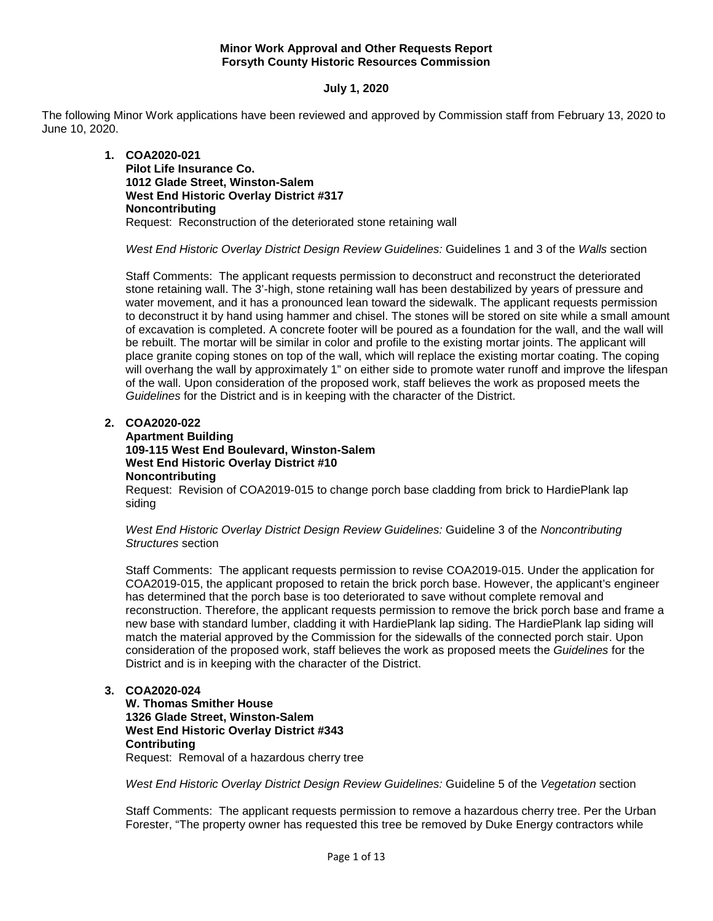# **Minor Work Approval and Other Requests Report Forsyth County Historic Resources Commission**

# **July 1, 2020**

The following Minor Work applications have been reviewed and approved by Commission staff from February 13, 2020 to June 10, 2020.

> **1. COA2020-021 Pilot Life Insurance Co. 1012 Glade Street, Winston-Salem West End Historic Overlay District #317 Noncontributing** Request: Reconstruction of the deteriorated stone retaining wall

*West End Historic Overlay District Design Review Guidelines:* Guidelines 1 and 3 of the *Walls* section

Staff Comments: The applicant requests permission to deconstruct and reconstruct the deteriorated stone retaining wall. The 3'-high, stone retaining wall has been destabilized by years of pressure and water movement, and it has a pronounced lean toward the sidewalk. The applicant requests permission to deconstruct it by hand using hammer and chisel. The stones will be stored on site while a small amount of excavation is completed. A concrete footer will be poured as a foundation for the wall, and the wall will be rebuilt. The mortar will be similar in color and profile to the existing mortar joints. The applicant will place granite coping stones on top of the wall, which will replace the existing mortar coating. The coping will overhang the wall by approximately 1" on either side to promote water runoff and improve the lifespan of the wall. Upon consideration of the proposed work, staff believes the work as proposed meets the *Guidelines* for the District and is in keeping with the character of the District.

# **2. COA2020-022**

**Apartment Building 109-115 West End Boulevard, Winston-Salem West End Historic Overlay District #10 Noncontributing**

Request: Revision of COA2019-015 to change porch base cladding from brick to HardiePlank lap siding

*West End Historic Overlay District Design Review Guidelines:* Guideline 3 of the *Noncontributing Structures* section

Staff Comments: The applicant requests permission to revise COA2019-015. Under the application for COA2019-015, the applicant proposed to retain the brick porch base. However, the applicant's engineer has determined that the porch base is too deteriorated to save without complete removal and reconstruction. Therefore, the applicant requests permission to remove the brick porch base and frame a new base with standard lumber, cladding it with HardiePlank lap siding. The HardiePlank lap siding will match the material approved by the Commission for the sidewalls of the connected porch stair. Upon consideration of the proposed work, staff believes the work as proposed meets the *Guidelines* for the District and is in keeping with the character of the District.

# **3. COA2020-024**

**W. Thomas Smither House 1326 Glade Street, Winston-Salem West End Historic Overlay District #343 Contributing** Request: Removal of a hazardous cherry tree

*West End Historic Overlay District Design Review Guidelines:* Guideline 5 of the *Vegetation* section

Staff Comments: The applicant requests permission to remove a hazardous cherry tree. Per the Urban Forester, "The property owner has requested this tree be removed by Duke Energy contractors while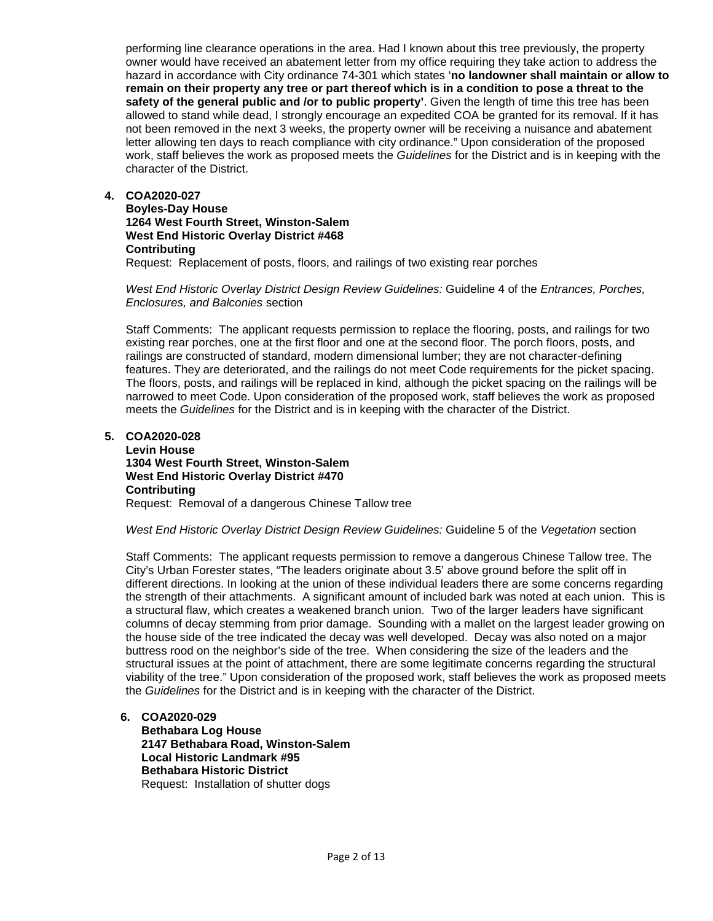performing line clearance operations in the area. Had I known about this tree previously, the property owner would have received an abatement letter from my office requiring they take action to address the hazard in accordance with City ordinance 74-301 which states '**no landowner shall maintain or allow to remain on their property any tree or part thereof which is in a condition to pose a threat to the safety of the general public and /or to public property'**. Given the length of time this tree has been allowed to stand while dead, I strongly encourage an expedited COA be granted for its removal. If it has not been removed in the next 3 weeks, the property owner will be receiving a nuisance and abatement letter allowing ten days to reach compliance with city ordinance." Upon consideration of the proposed work, staff believes the work as proposed meets the *Guidelines* for the District and is in keeping with the character of the District.

**4. COA2020-027**

**Boyles-Day House 1264 West Fourth Street, Winston-Salem West End Historic Overlay District #468 Contributing**

Request: Replacement of posts, floors, and railings of two existing rear porches

*West End Historic Overlay District Design Review Guidelines:* Guideline 4 of the *Entrances, Porches, Enclosures, and Balconies* section

Staff Comments: The applicant requests permission to replace the flooring, posts, and railings for two existing rear porches, one at the first floor and one at the second floor. The porch floors, posts, and railings are constructed of standard, modern dimensional lumber; they are not character-defining features. They are deteriorated, and the railings do not meet Code requirements for the picket spacing. The floors, posts, and railings will be replaced in kind, although the picket spacing on the railings will be narrowed to meet Code. Upon consideration of the proposed work, staff believes the work as proposed meets the *Guidelines* for the District and is in keeping with the character of the District.

**5. COA2020-028**

**Levin House 1304 West Fourth Street, Winston-Salem West End Historic Overlay District #470 Contributing** Request: Removal of a dangerous Chinese Tallow tree

*West End Historic Overlay District Design Review Guidelines:* Guideline 5 of the *Vegetation* section

Staff Comments: The applicant requests permission to remove a dangerous Chinese Tallow tree. The City's Urban Forester states, "The leaders originate about 3.5' above ground before the split off in different directions. In looking at the union of these individual leaders there are some concerns regarding the strength of their attachments. A significant amount of included bark was noted at each union. This is a structural flaw, which creates a weakened branch union. Two of the larger leaders have significant columns of decay stemming from prior damage. Sounding with a mallet on the largest leader growing on the house side of the tree indicated the decay was well developed. Decay was also noted on a major buttress rood on the neighbor's side of the tree. When considering the size of the leaders and the structural issues at the point of attachment, there are some legitimate concerns regarding the structural viability of the tree." Upon consideration of the proposed work, staff believes the work as proposed meets the *Guidelines* for the District and is in keeping with the character of the District.

- **6. COA2020-029**
	- **Bethabara Log House 2147 Bethabara Road, Winston-Salem Local Historic Landmark #95 Bethabara Historic District** Request: Installation of shutter dogs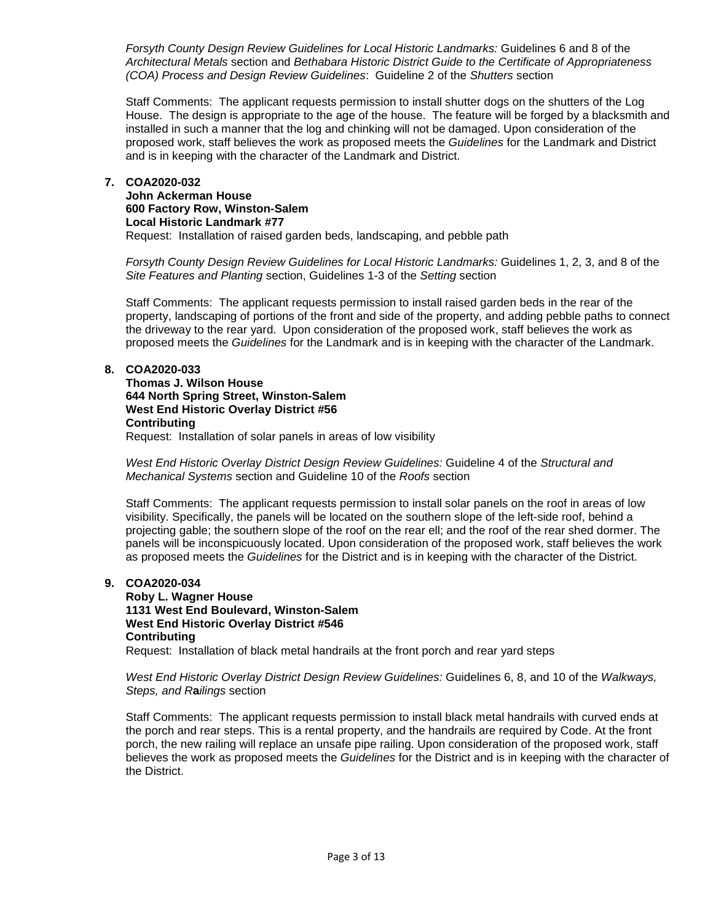*Forsyth County Design Review Guidelines for Local Historic Landmarks:* Guidelines 6 and 8 of the *Architectural Metals* section and *Bethabara Historic District Guide to the Certificate of Appropriateness (COA) Process and Design Review Guidelines*: Guideline 2 of the *Shutters* section

Staff Comments: The applicant requests permission to install shutter dogs on the shutters of the Log House. The design is appropriate to the age of the house. The feature will be forged by a blacksmith and installed in such a manner that the log and chinking will not be damaged. Upon consideration of the proposed work, staff believes the work as proposed meets the *Guidelines* for the Landmark and District and is in keeping with the character of the Landmark and District.

### **7. COA2020-032**

**John Ackerman House 600 Factory Row, Winston-Salem Local Historic Landmark #77** Request: Installation of raised garden beds, landscaping, and pebble path

*Forsyth County Design Review Guidelines for Local Historic Landmarks:* Guidelines 1, 2, 3, and 8 of the *Site Features and Planting* section, Guidelines 1-3 of the *Setting* section

Staff Comments: The applicant requests permission to install raised garden beds in the rear of the property, landscaping of portions of the front and side of the property, and adding pebble paths to connect the driveway to the rear yard. Upon consideration of the proposed work, staff believes the work as proposed meets the *Guidelines* for the Landmark and is in keeping with the character of the Landmark.

# **8. COA2020-033**

**Thomas J. Wilson House 644 North Spring Street, Winston-Salem West End Historic Overlay District #56 Contributing** Request: Installation of solar panels in areas of low visibility

*West End Historic Overlay District Design Review Guidelines:* Guideline 4 of the *Structural and Mechanical Systems* section and Guideline 10 of the *Roofs* section

Staff Comments: The applicant requests permission to install solar panels on the roof in areas of low visibility. Specifically, the panels will be located on the southern slope of the left-side roof, behind a projecting gable; the southern slope of the roof on the rear ell; and the roof of the rear shed dormer. The panels will be inconspicuously located. Upon consideration of the proposed work, staff believes the work as proposed meets the *Guidelines* for the District and is in keeping with the character of the District.

# **9. COA2020-034**

**Roby L. Wagner House 1131 West End Boulevard, Winston-Salem West End Historic Overlay District #546 Contributing** Request: Installation of black metal handrails at the front porch and rear yard steps

*West End Historic Overlay District Design Review Guidelines:* Guidelines 6, 8, and 10 of the *Walkways,* 

*Steps, and R***a***ilings* section

Staff Comments: The applicant requests permission to install black metal handrails with curved ends at the porch and rear steps. This is a rental property, and the handrails are required by Code. At the front porch, the new railing will replace an unsafe pipe railing. Upon consideration of the proposed work, staff believes the work as proposed meets the *Guidelines* for the District and is in keeping with the character of the District.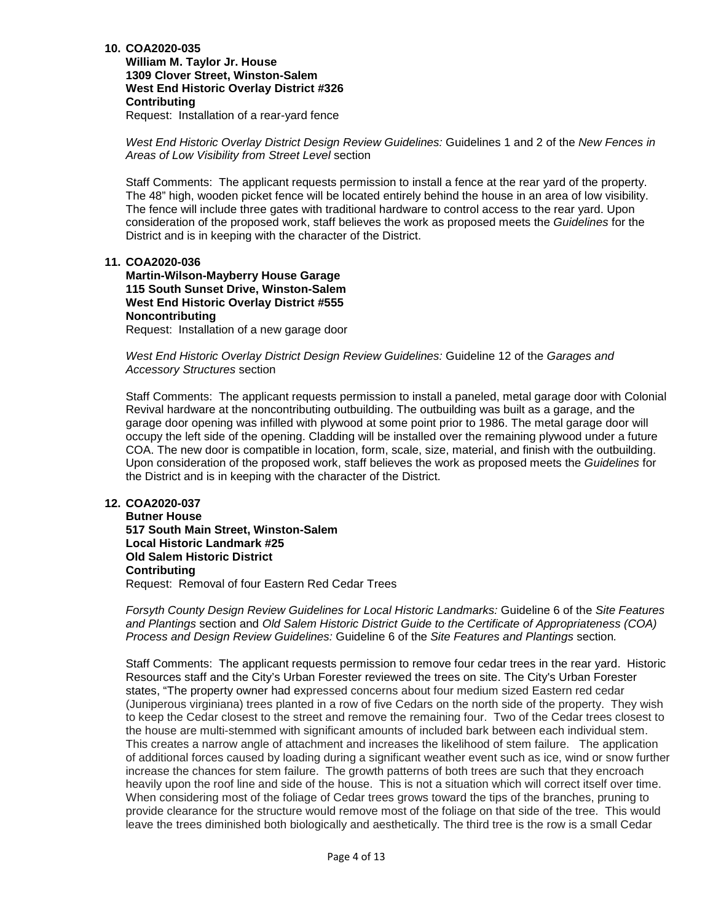**William M. Taylor Jr. House 1309 Clover Street, Winston-Salem West End Historic Overlay District #326 Contributing**

Request: Installation of a rear-yard fence

*West End Historic Overlay District Design Review Guidelines:* Guidelines 1 and 2 of the *New Fences in Areas of Low Visibility from Street Level* section

Staff Comments: The applicant requests permission to install a fence at the rear yard of the property. The 48" high, wooden picket fence will be located entirely behind the house in an area of low visibility. The fence will include three gates with traditional hardware to control access to the rear yard. Upon consideration of the proposed work, staff believes the work as proposed meets the *Guidelines* for the District and is in keeping with the character of the District.

# **11. COA2020-036**

**Martin-Wilson-Mayberry House Garage 115 South Sunset Drive, Winston-Salem West End Historic Overlay District #555 Noncontributing**

Request: Installation of a new garage door

*West End Historic Overlay District Design Review Guidelines:* Guideline 12 of the *Garages and Accessory Structures* section

Staff Comments: The applicant requests permission to install a paneled, metal garage door with Colonial Revival hardware at the noncontributing outbuilding. The outbuilding was built as a garage, and the garage door opening was infilled with plywood at some point prior to 1986. The metal garage door will occupy the left side of the opening. Cladding will be installed over the remaining plywood under a future COA. The new door is compatible in location, form, scale, size, material, and finish with the outbuilding. Upon consideration of the proposed work, staff believes the work as proposed meets the *Guidelines* for the District and is in keeping with the character of the District.

### **12. COA2020-037**

**Butner House 517 South Main Street, Winston-Salem Local Historic Landmark #25 Old Salem Historic District Contributing** Request: Removal of four Eastern Red Cedar Trees

*Forsyth County Design Review Guidelines for Local Historic Landmarks:* Guideline 6 of the *Site Features and Plantings* section and *Old Salem Historic District Guide to the Certificate of Appropriateness (COA) Process and Design Review Guidelines:* Guideline 6 of the *Site Features and Plantings* section*.* 

Staff Comments: The applicant requests permission to remove four cedar trees in the rear yard. Historic Resources staff and the City's Urban Forester reviewed the trees on site. The City's Urban Forester states, "The property owner had expressed concerns about four medium sized Eastern red cedar (Juniperous virginiana) trees planted in a row of five Cedars on the north side of the property. They wish to keep the Cedar closest to the street and remove the remaining four. Two of the Cedar trees closest to the house are multi-stemmed with significant amounts of included bark between each individual stem. This creates a narrow angle of attachment and increases the likelihood of stem failure. The application of additional forces caused by loading during a significant weather event such as ice, wind or snow further increase the chances for stem failure. The growth patterns of both trees are such that they encroach heavily upon the roof line and side of the house. This is not a situation which will correct itself over time. When considering most of the foliage of Cedar trees grows toward the tips of the branches, pruning to provide clearance for the structure would remove most of the foliage on that side of the tree. This would leave the trees diminished both biologically and aesthetically. The third tree is the row is a small Cedar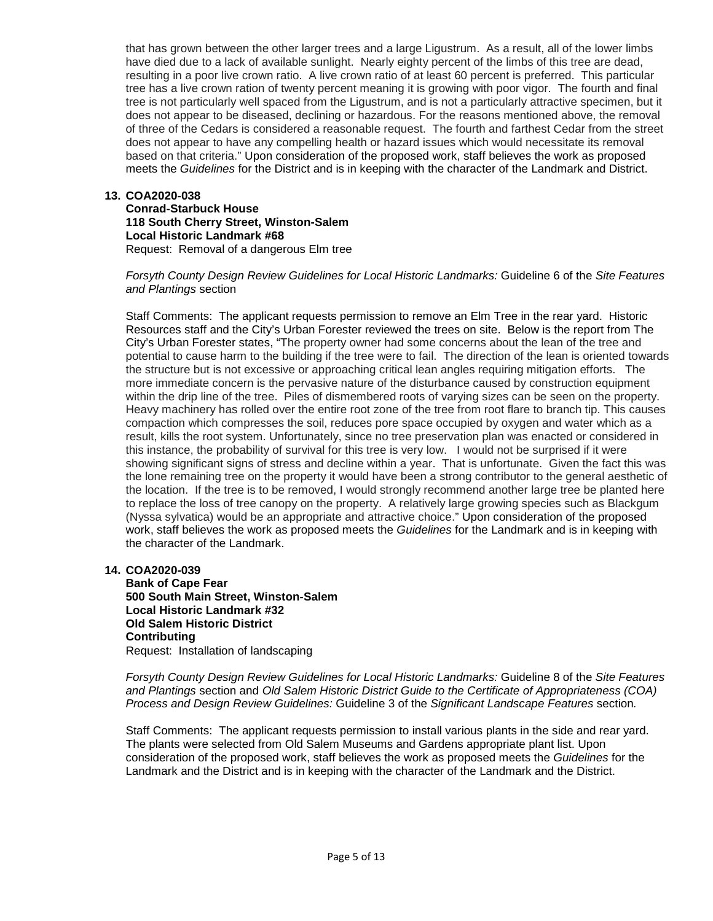that has grown between the other larger trees and a large Ligustrum. As a result, all of the lower limbs have died due to a lack of available sunlight. Nearly eighty percent of the limbs of this tree are dead, resulting in a poor live crown ratio. A live crown ratio of at least 60 percent is preferred. This particular tree has a live crown ration of twenty percent meaning it is growing with poor vigor. The fourth and final tree is not particularly well spaced from the Ligustrum, and is not a particularly attractive specimen, but it does not appear to be diseased, declining or hazardous. For the reasons mentioned above, the removal of three of the Cedars is considered a reasonable request. The fourth and farthest Cedar from the street does not appear to have any compelling health or hazard issues which would necessitate its removal based on that criteria." Upon consideration of the proposed work, staff believes the work as proposed meets the *Guidelines* for the District and is in keeping with the character of the Landmark and District.

# **13. COA2020-038**

**Conrad-Starbuck House 118 South Cherry Street, Winston-Salem Local Historic Landmark #68** Request: Removal of a dangerous Elm tree

*Forsyth County Design Review Guidelines for Local Historic Landmarks:* Guideline 6 of the *Site Features and Plantings* section

Staff Comments: The applicant requests permission to remove an Elm Tree in the rear yard. Historic Resources staff and the City's Urban Forester reviewed the trees on site. Below is the report from The City's Urban Forester states, "The property owner had some concerns about the lean of the tree and potential to cause harm to the building if the tree were to fail. The direction of the lean is oriented towards the structure but is not excessive or approaching critical lean angles requiring mitigation efforts. The more immediate concern is the pervasive nature of the disturbance caused by construction equipment within the drip line of the tree. Piles of dismembered roots of varying sizes can be seen on the property. Heavy machinery has rolled over the entire root zone of the tree from root flare to branch tip. This causes compaction which compresses the soil, reduces pore space occupied by oxygen and water which as a result, kills the root system. Unfortunately, since no tree preservation plan was enacted or considered in this instance, the probability of survival for this tree is very low. I would not be surprised if it were showing significant signs of stress and decline within a year. That is unfortunate. Given the fact this was the lone remaining tree on the property it would have been a strong contributor to the general aesthetic of the location. If the tree is to be removed, I would strongly recommend another large tree be planted here to replace the loss of tree canopy on the property. A relatively large growing species such as Blackgum (Nyssa sylvatica) would be an appropriate and attractive choice." Upon consideration of the proposed work, staff believes the work as proposed meets the *Guidelines* for the Landmark and is in keeping with the character of the Landmark.

# **14. COA2020-039**

**Bank of Cape Fear 500 South Main Street, Winston-Salem Local Historic Landmark #32 Old Salem Historic District Contributing** Request: Installation of landscaping

*Forsyth County Design Review Guidelines for Local Historic Landmarks:* Guideline 8 of the *Site Features and Plantings* section and *Old Salem Historic District Guide to the Certificate of Appropriateness (COA) Process and Design Review Guidelines:* Guideline 3 of the *Significant Landscape Features* section*.* 

Staff Comments: The applicant requests permission to install various plants in the side and rear yard. The plants were selected from Old Salem Museums and Gardens appropriate plant list. Upon consideration of the proposed work, staff believes the work as proposed meets the *Guidelines* for the Landmark and the District and is in keeping with the character of the Landmark and the District.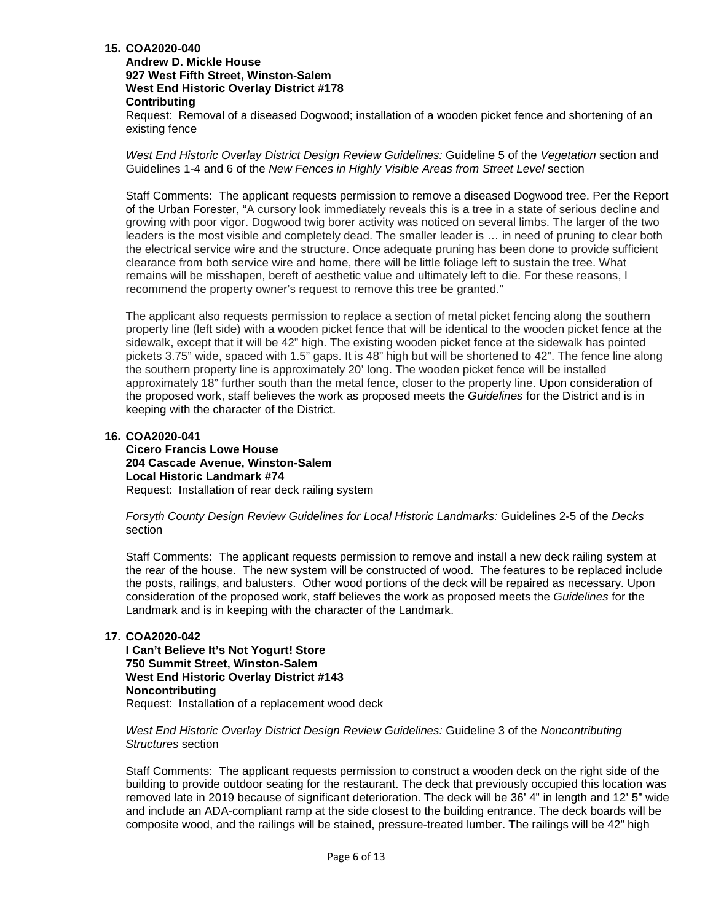### **Andrew D. Mickle House 927 West Fifth Street, Winston-Salem West End Historic Overlay District #178 Contributing**

Request: Removal of a diseased Dogwood; installation of a wooden picket fence and shortening of an existing fence

*West End Historic Overlay District Design Review Guidelines:* Guideline 5 of the *Vegetation* section and Guidelines 1-4 and 6 of the *New Fences in Highly Visible Areas from Street Level* section

Staff Comments: The applicant requests permission to remove a diseased Dogwood tree. Per the Report of the Urban Forester, "A cursory look immediately reveals this is a tree in a state of serious decline and growing with poor vigor. Dogwood twig borer activity was noticed on several limbs. The larger of the two leaders is the most visible and completely dead. The smaller leader is … in need of pruning to clear both the electrical service wire and the structure. Once adequate pruning has been done to provide sufficient clearance from both service wire and home, there will be little foliage left to sustain the tree. What remains will be misshapen, bereft of aesthetic value and ultimately left to die. For these reasons, I recommend the property owner's request to remove this tree be granted."

The applicant also requests permission to replace a section of metal picket fencing along the southern property line (left side) with a wooden picket fence that will be identical to the wooden picket fence at the sidewalk, except that it will be 42" high. The existing wooden picket fence at the sidewalk has pointed pickets 3.75" wide, spaced with 1.5" gaps. It is 48" high but will be shortened to 42". The fence line along the southern property line is approximately 20' long. The wooden picket fence will be installed approximately 18" further south than the metal fence, closer to the property line. Upon consideration of the proposed work, staff believes the work as proposed meets the *Guidelines* for the District and is in keeping with the character of the District.

# **16. COA2020-041**

**Cicero Francis Lowe House 204 Cascade Avenue, Winston-Salem Local Historic Landmark #74** Request: Installation of rear deck railing system

*Forsyth County Design Review Guidelines for Local Historic Landmarks:* Guidelines 2-5 of the *Decks*  section

Staff Comments: The applicant requests permission to remove and install a new deck railing system at the rear of the house. The new system will be constructed of wood. The features to be replaced include the posts, railings, and balusters. Other wood portions of the deck will be repaired as necessary. Upon consideration of the proposed work, staff believes the work as proposed meets the *Guidelines* for the Landmark and is in keeping with the character of the Landmark.

# **17. COA2020-042**

**I Can't Believe It's Not Yogurt! Store 750 Summit Street, Winston-Salem West End Historic Overlay District #143 Noncontributing** Request: Installation of a replacement wood deck

*West End Historic Overlay District Design Review Guidelines:* Guideline 3 of the *Noncontributing Structures* section

Staff Comments: The applicant requests permission to construct a wooden deck on the right side of the building to provide outdoor seating for the restaurant. The deck that previously occupied this location was removed late in 2019 because of significant deterioration. The deck will be 36' 4" in length and 12' 5" wide and include an ADA-compliant ramp at the side closest to the building entrance. The deck boards will be composite wood, and the railings will be stained, pressure-treated lumber. The railings will be 42" high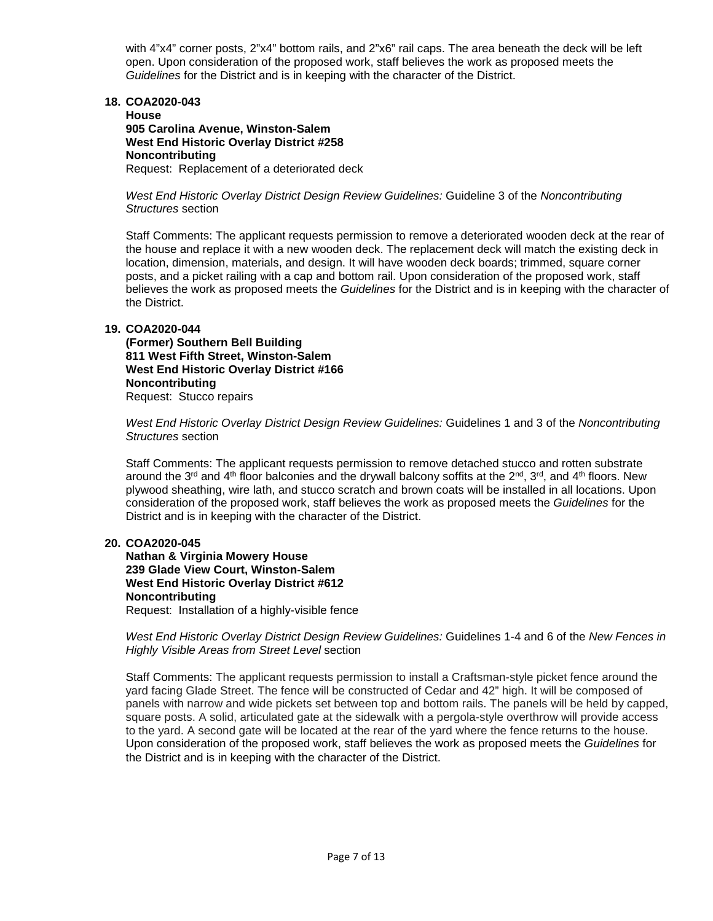with 4"x4" corner posts, 2"x4" bottom rails, and 2"x6" rail caps. The area beneath the deck will be left open. Upon consideration of the proposed work, staff believes the work as proposed meets the *Guidelines* for the District and is in keeping with the character of the District.

#### **18. COA2020-043**

**House 905 Carolina Avenue, Winston-Salem West End Historic Overlay District #258 Noncontributing** Request: Replacement of a deteriorated deck

*West End Historic Overlay District Design Review Guidelines:* Guideline 3 of the *Noncontributing Structures* section

Staff Comments: The applicant requests permission to remove a deteriorated wooden deck at the rear of the house and replace it with a new wooden deck. The replacement deck will match the existing deck in location, dimension, materials, and design. It will have wooden deck boards; trimmed, square corner posts, and a picket railing with a cap and bottom rail. Upon consideration of the proposed work, staff believes the work as proposed meets the *Guidelines* for the District and is in keeping with the character of the District.

# **19. COA2020-044**

**(Former) Southern Bell Building 811 West Fifth Street, Winston-Salem West End Historic Overlay District #166 Noncontributing** Request: Stucco repairs

*West End Historic Overlay District Design Review Guidelines:* Guidelines 1 and 3 of the *Noncontributing Structures* section

Staff Comments: The applicant requests permission to remove detached stucco and rotten substrate around the 3<sup>rd</sup> and 4<sup>th</sup> floor balconies and the drywall balcony soffits at the 2<sup>nd</sup>, 3<sup>rd</sup>, and 4<sup>th</sup> floors. New plywood sheathing, wire lath, and stucco scratch and brown coats will be installed in all locations. Upon consideration of the proposed work, staff believes the work as proposed meets the *Guidelines* for the District and is in keeping with the character of the District.

# **20. COA2020-045**

**Nathan & Virginia Mowery House 239 Glade View Court, Winston-Salem West End Historic Overlay District #612 Noncontributing**

Request: Installation of a highly-visible fence

*West End Historic Overlay District Design Review Guidelines:* Guidelines 1-4 and 6 of the *New Fences in Highly Visible Areas from Street Level* section

Staff Comments: The applicant requests permission to install a Craftsman-style picket fence around the yard facing Glade Street. The fence will be constructed of Cedar and 42" high. It will be composed of panels with narrow and wide pickets set between top and bottom rails. The panels will be held by capped, square posts. A solid, articulated gate at the sidewalk with a pergola-style overthrow will provide access to the yard. A second gate will be located at the rear of the yard where the fence returns to the house. Upon consideration of the proposed work, staff believes the work as proposed meets the *Guidelines* for the District and is in keeping with the character of the District.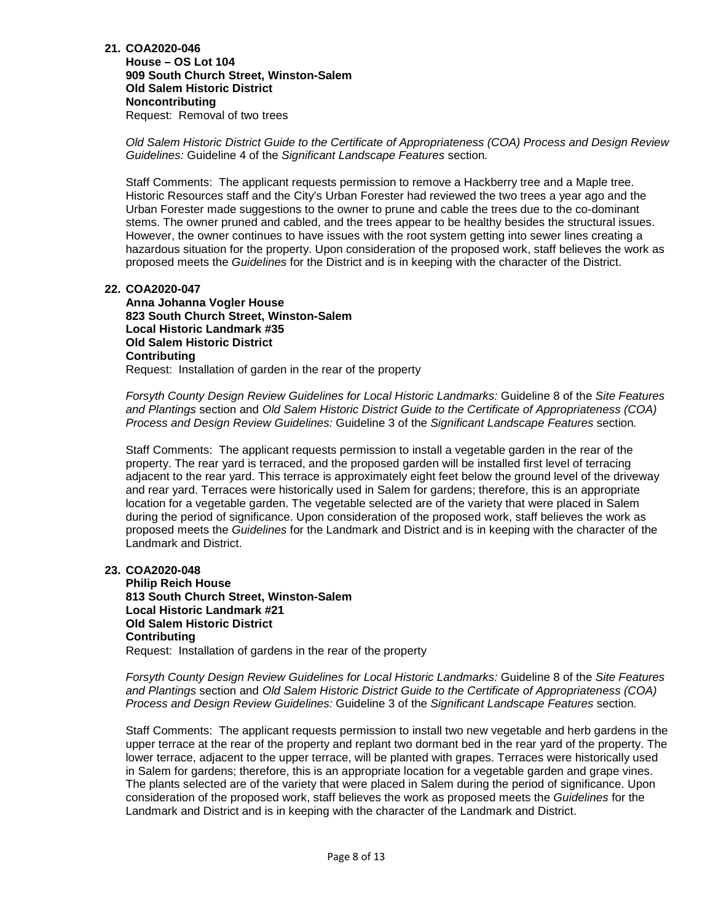**House – OS Lot 104 909 South Church Street, Winston-Salem Old Salem Historic District Noncontributing** Request: Removal of two trees

*Old Salem Historic District Guide to the Certificate of Appropriateness (COA) Process and Design Review Guidelines:* Guideline 4 of the *Significant Landscape Features* section*.* 

Staff Comments: The applicant requests permission to remove a Hackberry tree and a Maple tree. Historic Resources staff and the City's Urban Forester had reviewed the two trees a year ago and the Urban Forester made suggestions to the owner to prune and cable the trees due to the co-dominant stems. The owner pruned and cabled, and the trees appear to be healthy besides the structural issues. However, the owner continues to have issues with the root system getting into sewer lines creating a hazardous situation for the property. Upon consideration of the proposed work, staff believes the work as proposed meets the *Guidelines* for the District and is in keeping with the character of the District.

# **22. COA2020-047**

**Anna Johanna Vogler House 823 South Church Street, Winston-Salem Local Historic Landmark #35 Old Salem Historic District Contributing** Request: Installation of garden in the rear of the property

*Forsyth County Design Review Guidelines for Local Historic Landmarks:* Guideline 8 of the *Site Features and Plantings* section and *Old Salem Historic District Guide to the Certificate of Appropriateness (COA) Process and Design Review Guidelines:* Guideline 3 of the *Significant Landscape Features* section*.* 

Staff Comments: The applicant requests permission to install a vegetable garden in the rear of the property. The rear yard is terraced, and the proposed garden will be installed first level of terracing adjacent to the rear yard. This terrace is approximately eight feet below the ground level of the driveway and rear yard. Terraces were historically used in Salem for gardens; therefore, this is an appropriate location for a vegetable garden. The vegetable selected are of the variety that were placed in Salem during the period of significance. Upon consideration of the proposed work, staff believes the work as proposed meets the *Guidelines* for the Landmark and District and is in keeping with the character of the Landmark and District.

# **23. COA2020-048**

**Philip Reich House 813 South Church Street, Winston-Salem Local Historic Landmark #21 Old Salem Historic District Contributing** Request: Installation of gardens in the rear of the property

*Forsyth County Design Review Guidelines for Local Historic Landmarks:* Guideline 8 of the *Site Features and Plantings* section and *Old Salem Historic District Guide to the Certificate of Appropriateness (COA) Process and Design Review Guidelines:* Guideline 3 of the *Significant Landscape Features* section*.* 

Staff Comments: The applicant requests permission to install two new vegetable and herb gardens in the upper terrace at the rear of the property and replant two dormant bed in the rear yard of the property. The lower terrace, adjacent to the upper terrace, will be planted with grapes. Terraces were historically used in Salem for gardens; therefore, this is an appropriate location for a vegetable garden and grape vines. The plants selected are of the variety that were placed in Salem during the period of significance. Upon consideration of the proposed work, staff believes the work as proposed meets the *Guidelines* for the Landmark and District and is in keeping with the character of the Landmark and District.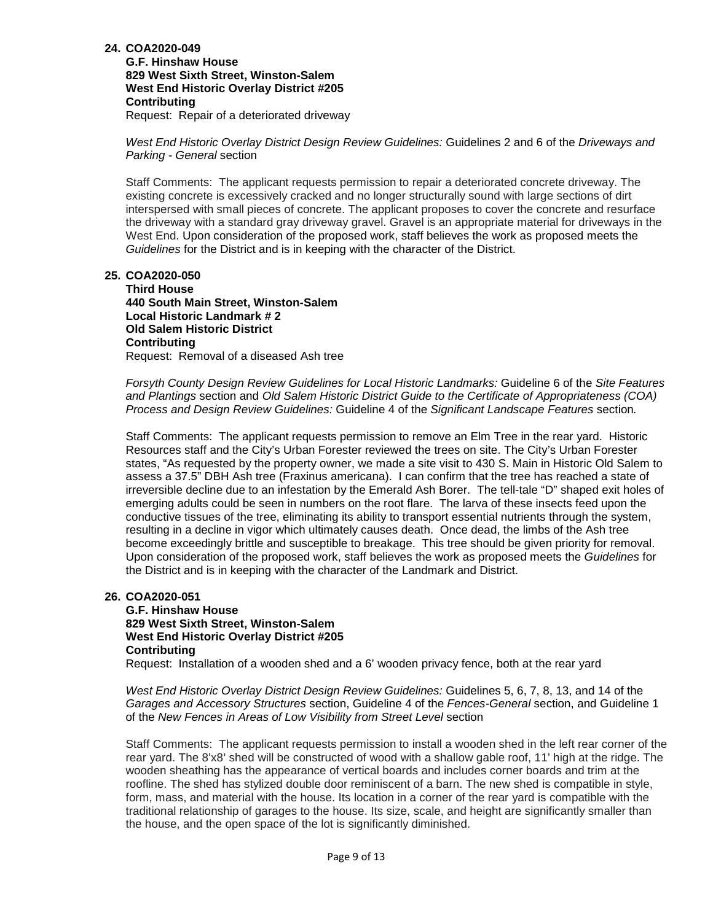**G.F. Hinshaw House 829 West Sixth Street, Winston-Salem West End Historic Overlay District #205 Contributing**

Request: Repair of a deteriorated driveway

*West End Historic Overlay District Design Review Guidelines:* Guidelines 2 and 6 of the *Driveways and Parking - General* section

Staff Comments: The applicant requests permission to repair a deteriorated concrete driveway. The existing concrete is excessively cracked and no longer structurally sound with large sections of dirt interspersed with small pieces of concrete. The applicant proposes to cover the concrete and resurface the driveway with a standard gray driveway gravel. Gravel is an appropriate material for driveways in the West End. Upon consideration of the proposed work, staff believes the work as proposed meets the *Guidelines* for the District and is in keeping with the character of the District.

# **25. COA2020-050**

**Third House 440 South Main Street, Winston-Salem Local Historic Landmark # 2 Old Salem Historic District Contributing** Request: Removal of a diseased Ash tree

*Forsyth County Design Review Guidelines for Local Historic Landmarks:* Guideline 6 of the *Site Features and Plantings* section and *Old Salem Historic District Guide to the Certificate of Appropriateness (COA) Process and Design Review Guidelines:* Guideline 4 of the *Significant Landscape Features* section*.*

Staff Comments: The applicant requests permission to remove an Elm Tree in the rear yard. Historic Resources staff and the City's Urban Forester reviewed the trees on site. The City's Urban Forester states, "As requested by the property owner, we made a site visit to 430 S. Main in Historic Old Salem to assess a 37.5" DBH Ash tree (Fraxinus americana). I can confirm that the tree has reached a state of irreversible decline due to an infestation by the Emerald Ash Borer. The tell-tale "D" shaped exit holes of emerging adults could be seen in numbers on the root flare. The larva of these insects feed upon the conductive tissues of the tree, eliminating its ability to transport essential nutrients through the system, resulting in a decline in vigor which ultimately causes death. Once dead, the limbs of the Ash tree become exceedingly brittle and susceptible to breakage. This tree should be given priority for removal. Upon consideration of the proposed work, staff believes the work as proposed meets the *Guidelines* for the District and is in keeping with the character of the Landmark and District.

# **26. COA2020-051**

**G.F. Hinshaw House 829 West Sixth Street, Winston-Salem West End Historic Overlay District #205 Contributing**

Request: Installation of a wooden shed and a 6' wooden privacy fence, both at the rear yard

*West End Historic Overlay District Design Review Guidelines:* Guidelines 5, 6, 7, 8, 13, and 14 of the *Garages and Accessory Structures* section, Guideline 4 of the *Fences-General* section, and Guideline 1 of the *New Fences in Areas of Low Visibility from Street Level* section

Staff Comments: The applicant requests permission to install a wooden shed in the left rear corner of the rear yard. The 8'x8' shed will be constructed of wood with a shallow gable roof, 11' high at the ridge. The wooden sheathing has the appearance of vertical boards and includes corner boards and trim at the roofline. The shed has stylized double door reminiscent of a barn. The new shed is compatible in style, form, mass, and material with the house. Its location in a corner of the rear yard is compatible with the traditional relationship of garages to the house. Its size, scale, and height are significantly smaller than the house, and the open space of the lot is significantly diminished.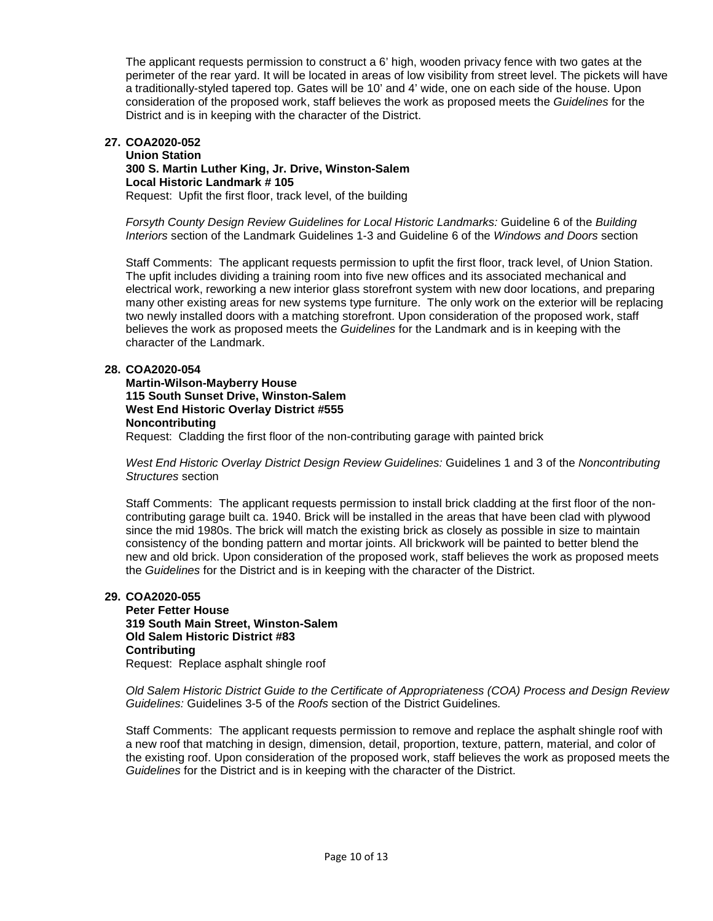The applicant requests permission to construct a 6' high, wooden privacy fence with two gates at the perimeter of the rear yard. It will be located in areas of low visibility from street level. The pickets will have a traditionally-styled tapered top. Gates will be 10' and 4' wide, one on each side of the house. Upon consideration of the proposed work, staff believes the work as proposed meets the *Guidelines* for the District and is in keeping with the character of the District.

#### **27. COA2020-052 Union Station 300 S. Martin Luther King, Jr. Drive, Winston-Salem Local Historic Landmark # 105** Request: Upfit the first floor, track level, of the building

*Forsyth County Design Review Guidelines for Local Historic Landmarks:* Guideline 6 of the *Building Interiors* section of the Landmark Guidelines 1-3 and Guideline 6 of the *Windows and Doors* section

Staff Comments: The applicant requests permission to upfit the first floor, track level, of Union Station. The upfit includes dividing a training room into five new offices and its associated mechanical and electrical work, reworking a new interior glass storefront system with new door locations, and preparing many other existing areas for new systems type furniture. The only work on the exterior will be replacing two newly installed doors with a matching storefront. Upon consideration of the proposed work, staff believes the work as proposed meets the *Guidelines* for the Landmark and is in keeping with the character of the Landmark.

# **28. COA2020-054**

**Martin-Wilson-Mayberry House 115 South Sunset Drive, Winston-Salem West End Historic Overlay District #555 Noncontributing** Request: Cladding the first floor of the non-contributing garage with painted brick

*West End Historic Overlay District Design Review Guidelines:* Guidelines 1 and 3 of the *Noncontributing Structures* section

Staff Comments: The applicant requests permission to install brick cladding at the first floor of the noncontributing garage built ca. 1940. Brick will be installed in the areas that have been clad with plywood since the mid 1980s. The brick will match the existing brick as closely as possible in size to maintain consistency of the bonding pattern and mortar joints. All brickwork will be painted to better blend the new and old brick. Upon consideration of the proposed work, staff believes the work as proposed meets the *Guidelines* for the District and is in keeping with the character of the District.

# **29. COA2020-055**

**Peter Fetter House 319 South Main Street, Winston-Salem Old Salem Historic District #83 Contributing** Request: Replace asphalt shingle roof

*Old Salem Historic District Guide to the Certificate of Appropriateness (COA) Process and Design Review Guidelines:* Guidelines 3-5 of the *Roofs* section of the District Guidelines*.* 

Staff Comments: The applicant requests permission to remove and replace the asphalt shingle roof with a new roof that matching in design, dimension, detail, proportion, texture, pattern, material, and color of the existing roof. Upon consideration of the proposed work, staff believes the work as proposed meets the *Guidelines* for the District and is in keeping with the character of the District.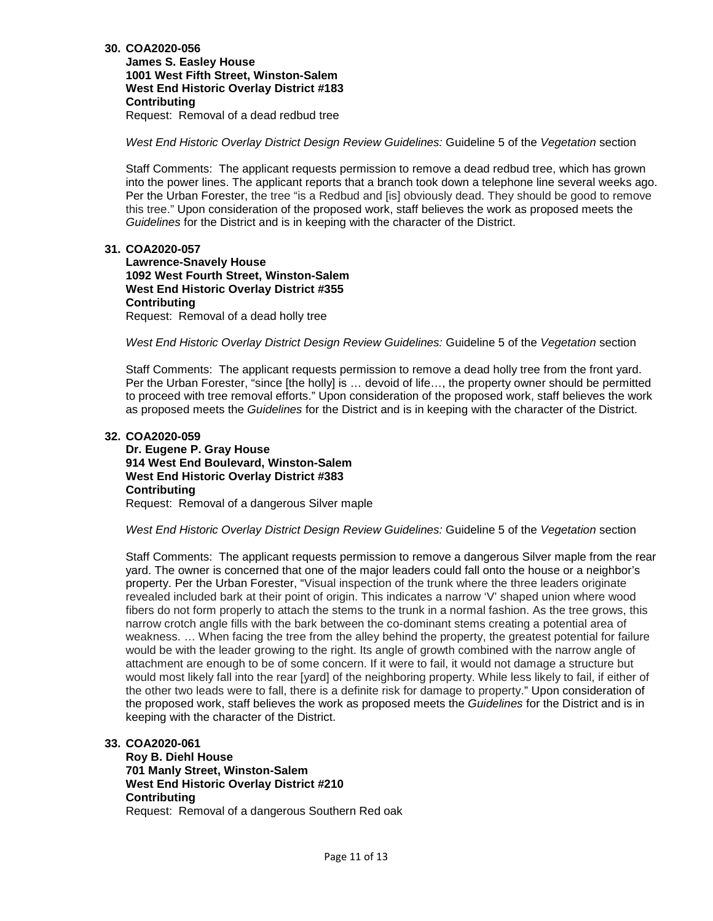**James S. Easley House 1001 West Fifth Street, Winston-Salem West End Historic Overlay District #183 Contributing** Request: Removal of a dead redbud tree

*West End Historic Overlay District Design Review Guidelines:* Guideline 5 of the *Vegetation* section

Staff Comments: The applicant requests permission to remove a dead redbud tree, which has grown into the power lines. The applicant reports that a branch took down a telephone line several weeks ago. Per the Urban Forester, the tree "is a Redbud and [is] obviously dead. They should be good to remove this tree." Upon consideration of the proposed work, staff believes the work as proposed meets the *Guidelines* for the District and is in keeping with the character of the District.

# **31. COA2020-057**

**Lawrence-Snavely House 1092 West Fourth Street, Winston-Salem West End Historic Overlay District #355 Contributing** Request: Removal of a dead holly tree

*West End Historic Overlay District Design Review Guidelines:* Guideline 5 of the *Vegetation* section

Staff Comments: The applicant requests permission to remove a dead holly tree from the front yard. Per the Urban Forester, "since [the holly] is … devoid of life…, the property owner should be permitted to proceed with tree removal efforts." Upon consideration of the proposed work, staff believes the work as proposed meets the *Guidelines* for the District and is in keeping with the character of the District.

#### **32. COA2020-059**

**Dr. Eugene P. Gray House 914 West End Boulevard, Winston-Salem West End Historic Overlay District #383 Contributing** Request: Removal of a dangerous Silver maple

*West End Historic Overlay District Design Review Guidelines:* Guideline 5 of the *Vegetation* section

Staff Comments: The applicant requests permission to remove a dangerous Silver maple from the rear yard. The owner is concerned that one of the major leaders could fall onto the house or a neighbor's property. Per the Urban Forester, "Visual inspection of the trunk where the three leaders originate revealed included bark at their point of origin. This indicates a narrow 'V' shaped union where wood fibers do not form properly to attach the stems to the trunk in a normal fashion. As the tree grows, this narrow crotch angle fills with the bark between the co-dominant stems creating a potential area of weakness. … When facing the tree from the alley behind the property, the greatest potential for failure would be with the leader growing to the right. Its angle of growth combined with the narrow angle of attachment are enough to be of some concern. If it were to fail, it would not damage a structure but would most likely fall into the rear [yard] of the neighboring property. While less likely to fail, if either of the other two leads were to fall, there is a definite risk for damage to property." Upon consideration of the proposed work, staff believes the work as proposed meets the *Guidelines* for the District and is in keeping with the character of the District.

#### **33. COA2020-061**

**Roy B. Diehl House 701 Manly Street, Winston-Salem West End Historic Overlay District #210 Contributing** Request: Removal of a dangerous Southern Red oak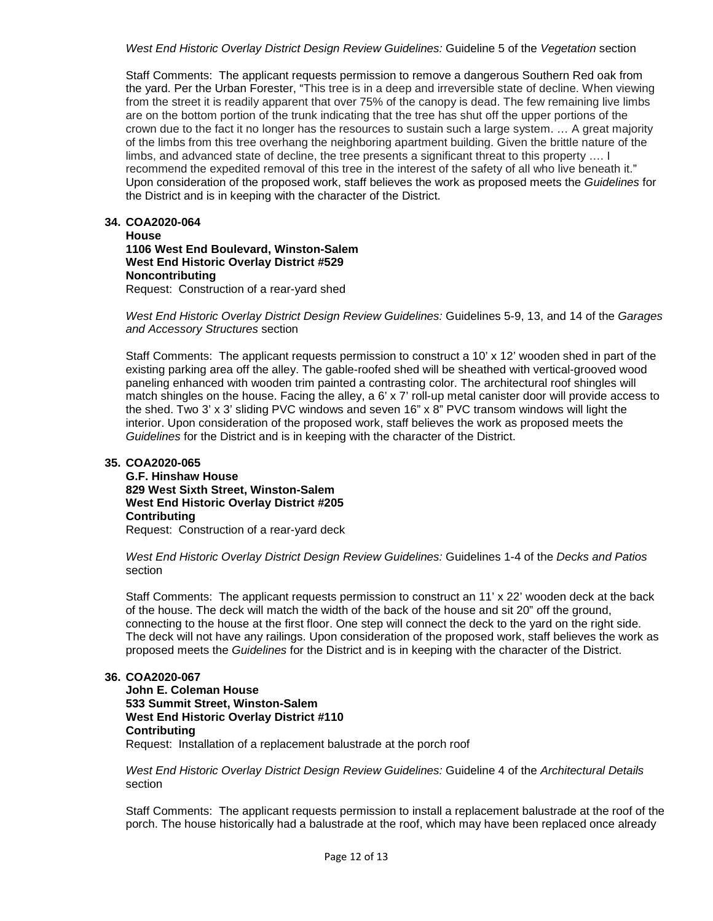*West End Historic Overlay District Design Review Guidelines:* Guideline 5 of the *Vegetation* section

Staff Comments: The applicant requests permission to remove a dangerous Southern Red oak from the yard. Per the Urban Forester, "This tree is in a deep and irreversible state of decline. When viewing from the street it is readily apparent that over 75% of the canopy is dead. The few remaining live limbs are on the bottom portion of the trunk indicating that the tree has shut off the upper portions of the crown due to the fact it no longer has the resources to sustain such a large system. … A great majority of the limbs from this tree overhang the neighboring apartment building. Given the brittle nature of the limbs, and advanced state of decline, the tree presents a significant threat to this property …. I recommend the expedited removal of this tree in the interest of the safety of all who live beneath it." Upon consideration of the proposed work, staff believes the work as proposed meets the *Guidelines* for the District and is in keeping with the character of the District.

# **34. COA2020-064**

### **House 1106 West End Boulevard, Winston-Salem West End Historic Overlay District #529 Noncontributing** Request: Construction of a rear-yard shed

*West End Historic Overlay District Design Review Guidelines:* Guidelines 5-9, 13, and 14 of the *Garages and Accessory Structures* section

Staff Comments: The applicant requests permission to construct a 10' x 12' wooden shed in part of the existing parking area off the alley. The gable-roofed shed will be sheathed with vertical-grooved wood paneling enhanced with wooden trim painted a contrasting color. The architectural roof shingles will match shingles on the house. Facing the alley, a 6' x 7' roll-up metal canister door will provide access to the shed. Two 3' x 3' sliding PVC windows and seven 16" x 8" PVC transom windows will light the interior. Upon consideration of the proposed work, staff believes the work as proposed meets the *Guidelines* for the District and is in keeping with the character of the District.

# **35. COA2020-065**

**G.F. Hinshaw House 829 West Sixth Street, Winston-Salem West End Historic Overlay District #205 Contributing**

Request: Construction of a rear-yard deck

*West End Historic Overlay District Design Review Guidelines:* Guidelines 1-4 of the *Decks and Patios*  section

Staff Comments: The applicant requests permission to construct an 11' x 22' wooden deck at the back of the house. The deck will match the width of the back of the house and sit 20" off the ground, connecting to the house at the first floor. One step will connect the deck to the yard on the right side. The deck will not have any railings. Upon consideration of the proposed work, staff believes the work as proposed meets the *Guidelines* for the District and is in keeping with the character of the District.

# **36. COA2020-067**

**John E. Coleman House 533 Summit Street, Winston-Salem West End Historic Overlay District #110 Contributing** Request: Installation of a replacement balustrade at the porch roof

*West End Historic Overlay District Design Review Guidelines:* Guideline 4 of the *Architectural Details*  section

Staff Comments: The applicant requests permission to install a replacement balustrade at the roof of the porch. The house historically had a balustrade at the roof, which may have been replaced once already